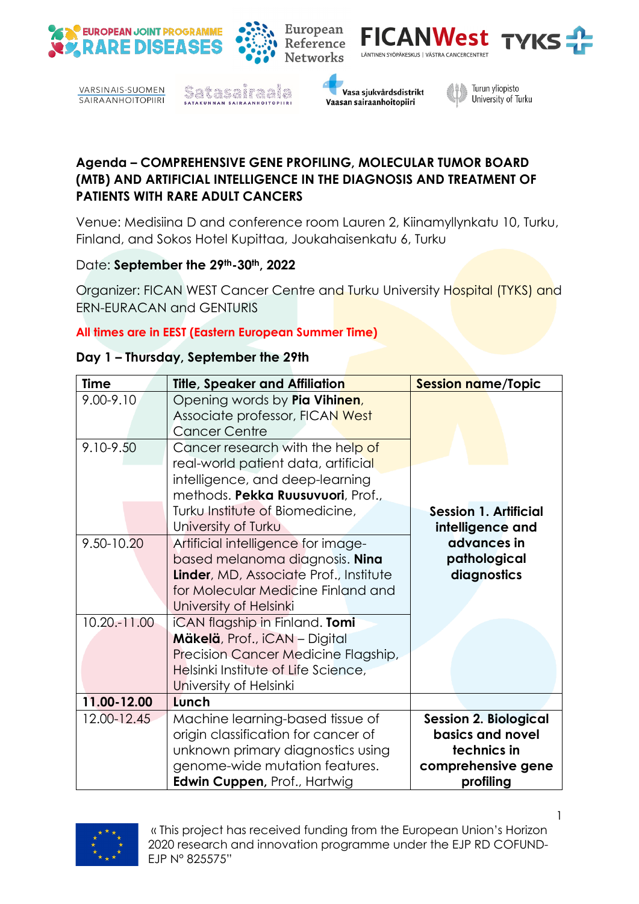

VARSINAIS-SUOMEN **SAIRAANHOITOPIIRI** 





**FICANWest** 

LÄNTINEN SYÖPÄKESKUS | VÄSTRA CANCERCENTRET



**TYKS** 

**Agenda – COMPREHENSIVE GENE PROFILING, MOLECULAR TUMOR BOARD (MTB) AND ARTIFICIAL INTELLIGENCE IN THE DIAGNOSIS AND TREATMENT OF PATIENTS WITH RARE ADULT CANCERS**

European

Reference

**Networks** 

Venue: Medisiina D and conference room Lauren 2, Kiinamyllynkatu 10, Turku, Finland, and Sokos Hotel Kupittaa, Joukahaisenkatu 6, Turku

## Date: September the 29th-30th, 2022

Organizer: FICAN WEST Cancer Centre and Turku University Hospital (TYKS) and ERN-EURACAN and GENTURIS

## **All times are in EEST (Eastern European Summer Time)**

## **Day 1 – Thursday, September the 29th**

| <b>Time</b>                | Title, Speaker and Affiliation                                                                                                                                                 | <b>Session name/Topic</b>                                                                          |
|----------------------------|--------------------------------------------------------------------------------------------------------------------------------------------------------------------------------|----------------------------------------------------------------------------------------------------|
| $9.00 - 9.10$<br>9.10-9.50 | Opening words by Pia Vihinen,<br>Associate professor, FICAN West<br><b>Cancer Centre</b><br>Cancer research with the help of                                                   |                                                                                                    |
|                            | real-world patient data, artificial<br>intelligence, and deep-learning<br>methods. Pekka Ruusuvuori, Prof.,<br>Turku Institute of Biomedicine,                                 | <b>Session 1. Artificial</b>                                                                       |
|                            | University of Turku                                                                                                                                                            | intelligence and                                                                                   |
| 9.50-10.20                 | Artificial intelligence for image-<br>based melanoma diagnosis. Nina<br>Linder, MD, Associate Prof., Institute<br>for Molecular Medicine Finland and<br>University of Helsinki | advances in<br>pathological<br>diagnostics                                                         |
| 10.20.-11.00               | iCAN flagship in Finland. Tomi<br>Mäkelä, Prof., iCAN - Digital<br>Precision Cancer Medicine Flagship,<br>Helsinki Institute of Life Science,<br>University of Helsinki        |                                                                                                    |
| 11.00-12.00                | Lunch                                                                                                                                                                          |                                                                                                    |
| 12.00-12.45                | Machine learning-based tissue of<br>origin classification for cancer of<br>unknown primary diagnostics using<br>genome-wide mutation features.<br>Edwin Cuppen, Prof., Hartwig | <b>Session 2. Biological</b><br>basics and novel<br>technics in<br>comprehensive gene<br>profiling |



« This project has received funding from the European Union's Horizon 2020 research and innovation programme under the EJP RD COFUND-EJP N° 825575"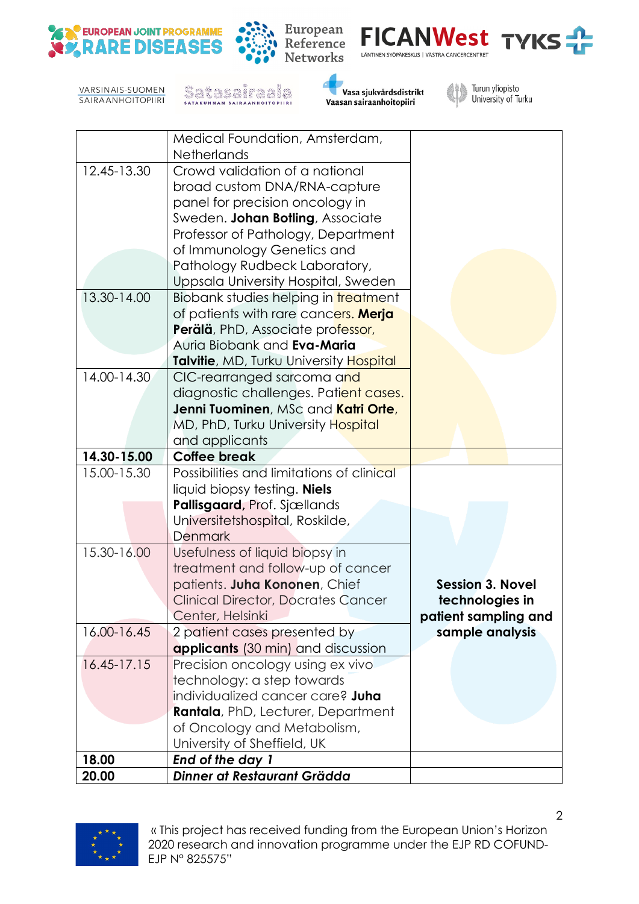





VARSINAIS-SUOMEN **SAIRAANHOITOPIIRI**  SALASANTAA





|             | Medical Foundation, Amsterdam,                                     |                         |
|-------------|--------------------------------------------------------------------|-------------------------|
|             | <b>Netherlands</b>                                                 |                         |
| 12.45-13.30 | Crowd validation of a national                                     |                         |
|             | broad custom DNA/RNA-capture                                       |                         |
|             | panel for precision oncology in                                    |                         |
|             | Sweden. Johan Botling, Associate                                   |                         |
|             | Professor of Pathology, Department                                 |                         |
|             | of Immunology Genetics and                                         |                         |
|             | Pathology Rudbeck Laboratory,                                      |                         |
|             | Uppsala University Hospital, Sweden                                |                         |
| 13.30-14.00 | Biobank studies helping in treatment                               |                         |
|             | of patients with rare cancers. Merja                               |                         |
|             | Perälä, PhD, Associate professor,                                  |                         |
|             | Auria Biobank and Eva-Maria                                        |                         |
|             | Talvitie, MD, Turku University Hospital                            |                         |
| 14.00-14.30 | CIC-rearranged sarcoma and                                         |                         |
|             | diagnostic challenges. Patient cases.                              |                         |
|             | Jenni Tuominen, MSc and <mark>Katri Orte,</mark>                   |                         |
|             | MD, PhD, Turku University Hospital                                 |                         |
|             | and applicants                                                     |                         |
| 14.30-15.00 | <b>Coffee break</b>                                                |                         |
| 15.00-15.30 | Possibilities and limitations of clinical                          |                         |
|             | liquid biopsy testing. <b>Niels</b>                                |                         |
|             | Pallisgaard, Prof. Sjællands                                       |                         |
|             | Universitetshospital, Roskilde,                                    |                         |
|             | <b>Denmark</b>                                                     |                         |
| 15.30-16.00 | Usefulness of liquid biopsy in                                     |                         |
|             | treatment and follow-up of cancer                                  |                         |
|             | patients. Juha Kononen, Chief                                      | <b>Session 3. Novel</b> |
|             | <b>Clinical Director, Docrates Cancer</b>                          | technologies in         |
| 16.00-16.45 | Center, Helsinki                                                   | patient sampling and    |
|             | 2 patient cases presented by<br>applicants (30 min) and discussion | sample analysis         |
| 16.45-17.15 | Precision oncology using ex vivo                                   |                         |
|             | technology: a step towards                                         |                         |
|             | individualized cancer care? Juha                                   |                         |
|             | Rantala, PhD, Lecturer, Department                                 |                         |
|             | of Oncology and Metabolism,                                        |                         |
|             | University of Sheffield, UK                                        |                         |
| 18.00       | End of the day 1                                                   |                         |
| 20.00       | Dinner at Restaurant Grädda                                        |                         |
|             |                                                                    |                         |



 « This project has received funding from the European Union's Horizon 2020 research and innovation programme under the EJP RD COFUND-EJP N° 825575"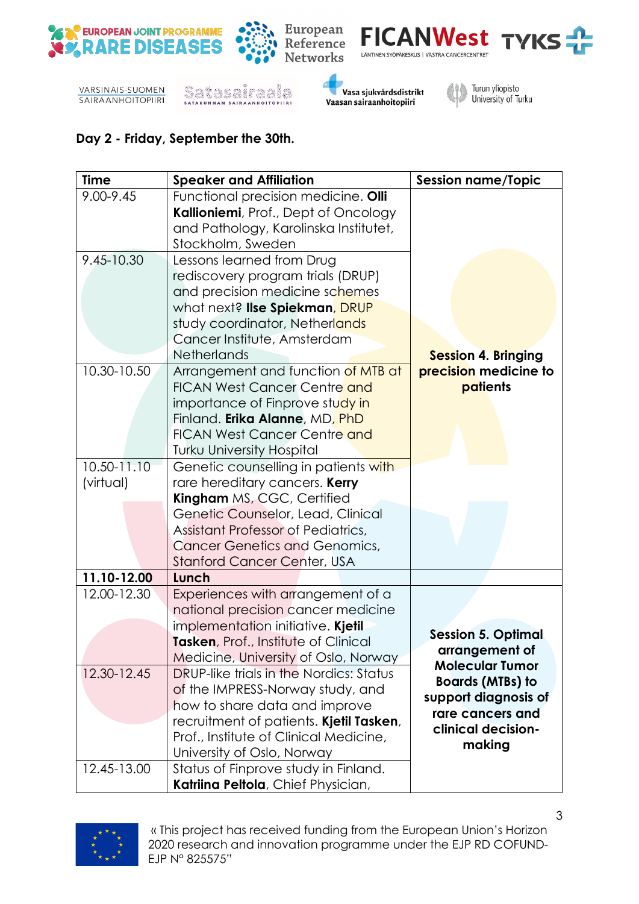













## **Day 2 - Friday, September the 30th.**

| <b>Time</b> | <b>Speaker and Affiliation</b>                 | <b>Session name/Topic</b>  |
|-------------|------------------------------------------------|----------------------------|
| 9.00-9.45   | Functional precision medicine. Olli            |                            |
|             | Kallioniemi, Prof., Dept of Oncology           |                            |
|             | and Pathology, Karolinska Institutet,          |                            |
|             | Stockholm, Sweden                              |                            |
| 9.45-10.30  | Lessons learned from Drug                      |                            |
|             | rediscovery program trials (DRUP)              |                            |
|             | and precision medicine schemes                 |                            |
|             | what next? lise Spiekman, DRUP                 |                            |
|             | study coordinator, Netherlands                 |                            |
|             | Cancer Institute, Amsterdam                    |                            |
|             | <b>Netherlands</b>                             | <b>Session 4. Bringing</b> |
| 10.30-10.50 | Arrangement and function of MTB at             | precision medicine to      |
|             | <b>FICAN West Cancer Centre and</b>            | patients                   |
|             | importance of Finprove study in                |                            |
|             | Finland. Erika Alanne, MD, PhD                 |                            |
|             | <b>FICAN West Cancer Centre and</b>            |                            |
|             | <b>Turku University Hospital</b>               |                            |
| 10.50-11.10 | Genetic counselling in patients with           |                            |
| (virtual)   | rare hereditary cancers. Kerry                 |                            |
|             | <b>Kingham</b> MS, CGC, Certified              |                            |
|             | Genetic Counselor, Lead, Clinical              |                            |
|             | Assistant Professor of Pediatrics,             |                            |
|             | <b>Cancer Genetics and Genomics,</b>           |                            |
|             | <b>Stanford Cancer Center, USA</b>             |                            |
| 11.10-12.00 | Lunch                                          |                            |
| 12.00-12.30 | Experiences with arrangement of a              |                            |
|             | national precision cancer medicine             |                            |
|             | implementation initiative. Kjetil              | <b>Session 5. Optimal</b>  |
|             | Tasken, Prof., Institute of Clinical           | arrangement of             |
|             | Medicine, University of Oslo, Norway           | <b>Molecular Tumor</b>     |
| 12.30-12.45 | <b>DRUP-like trials in the Nordics: Status</b> | <b>Boards (MTBs) to</b>    |
|             | of the IMPRESS-Norway study, and               | support diagnosis of       |
|             | how to share data and improve                  | rare cancers and           |
|             | recruitment of patients. Kjetil Tasken,        | clinical decision-         |
|             | Prof., Institute of Clinical Medicine,         | making                     |
|             | University of Oslo, Norway                     |                            |
| 12.45-13.00 | Status of Finprove study in Finland.           |                            |
|             | Katriina Peltola, Chief Physician,             |                            |